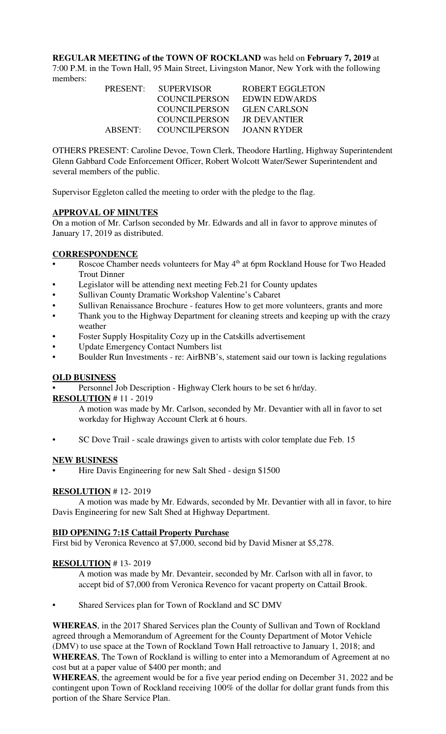**REGULAR MEETING of the TOWN OF ROCKLAND** was held on **February 7, 2019** at 7:00 P.M. in the Town Hall, 95 Main Street, Livingston Manor, New York with the following members:

| PRESENT: SUPERVISOR   | ROBERT EGGLETON     |
|-----------------------|---------------------|
| COUNCILPERSON         | EDWIN EDWARDS       |
| <b>COUNCILPERSON</b>  | <b>GLEN CARLSON</b> |
| <b>COUNCILPERSON</b>  | JR DEVANTIER        |
| ABSENT: COUNCILPERSON | JOANN RYDER         |

OTHERS PRESENT: Caroline Devoe, Town Clerk, Theodore Hartling, Highway Superintendent Glenn Gabbard Code Enforcement Officer, Robert Wolcott Water/Sewer Superintendent and several members of the public.

Supervisor Eggleton called the meeting to order with the pledge to the flag.

## **APPROVAL OF MINUTES**

On a motion of Mr. Carlson seconded by Mr. Edwards and all in favor to approve minutes of January 17, 2019 as distributed.

## **CORRESPONDENCE**

- Roscoe Chamber needs volunteers for May 4<sup>th</sup> at 6pm Rockland House for Two Headed Trout Dinner
- Legislator will be attending next meeting Feb.21 for County updates
- Sullivan County Dramatic Workshop Valentine's Cabaret
- Sullivan Renaissance Brochure features How to get more volunteers, grants and more
- Thank you to the Highway Department for cleaning streets and keeping up with the crazy weather
- Foster Supply Hospitality Cozy up in the Catskills advertisement
- Update Emergency Contact Numbers list
- Boulder Run Investments re: AirBNB's, statement said our town is lacking regulations

#### **OLD BUSINESS**

Personnel Job Description - Highway Clerk hours to be set 6 hr/day.

#### **RESOLUTION** # 11 - 2019

A motion was made by Mr. Carlson, seconded by Mr. Devantier with all in favor to set workday for Highway Account Clerk at 6 hours.

• SC Dove Trail - scale drawings given to artists with color template due Feb. 15

#### **NEW BUSINESS**

• Hire Davis Engineering for new Salt Shed - design \$1500

# **RESOLUTION** # 12- 2019

A motion was made by Mr. Edwards, seconded by Mr. Devantier with all in favor, to hire Davis Engineering for new Salt Shed at Highway Department.

#### **BID OPENING 7:15 Cattail Property Purchase**

First bid by Veronica Revenco at \$7,000, second bid by David Misner at \$5,278.

#### **RESOLUTION** # 13- 2019

A motion was made by Mr. Devanteir, seconded by Mr. Carlson with all in favor, to accept bid of \$7,000 from Veronica Revenco for vacant property on Cattail Brook.

Shared Services plan for Town of Rockland and SC DMV

**WHEREAS**, in the 2017 Shared Services plan the County of Sullivan and Town of Rockland agreed through a Memorandum of Agreement for the County Department of Motor Vehicle (DMV) to use space at the Town of Rockland Town Hall retroactive to January 1, 2018; and **WHEREAS**, The Town of Rockland is willing to enter into a Memorandum of Agreement at no cost but at a paper value of \$400 per month; and

**WHEREAS**, the agreement would be for a five year period ending on December 31, 2022 and be contingent upon Town of Rockland receiving 100% of the dollar for dollar grant funds from this portion of the Share Service Plan.